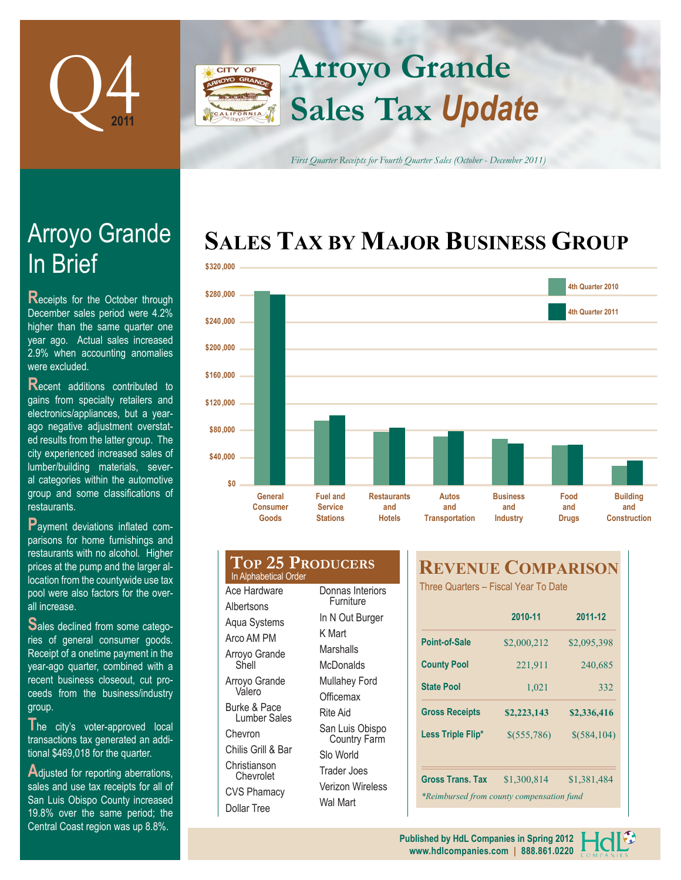

# **Arroyo Grande CITY OF Sales Tax** *Update*

*First Quarter Receipts for Fourth Quarter Sales (October - December 2011)*

# **SALES TAX BY MAJOR BUSINESS GROUP**



# In Brief Arroyo Grande

**R**eceipts for the October through December sales period were 4.2% higher than the same quarter one year ago. Actual sales increased 2.9% when accounting anomalies were excluded.

**R**ecent additions contributed to gains from specialty retailers and electronics/appliances, but a yearago negative adjustment overstated results from the latter group. The city experienced increased sales of lumber/building materials, several categories within the automotive group and some classifications of restaurants.

**P**ayment deviations inflated comparisons for home furnishings and restaurants with no alcohol. Higher prices at the pump and the larger allocation from the countywide use tax pool were also factors for the overall increase.

**S**ales declined from some categories of general consumer goods. Receipt of a onetime payment in the year-ago quarter, combined with a recent business closeout, cut proceeds from the business/industry group.

The city's voter-approved local transactions tax generated an additional \$469,018 for the quarter.

**A**djusted for reporting aberrations, sales and use tax receipts for all of San Luis Obispo County increased 19.8% over the same period; the Central Coast region was up 8.8%.

## **Top 25 Producers** In Alphabetical Order Ace Hardware **Albertsons** Furniture

Aqua Systems Arco AM PM Arroyo Grande Shell Arroyo Grande Valero Burke & Pace Lumber Sales Chevron Chilis Grill & Bar Christianson Chevrolet CVS Phamacy Dollar Tree

Donnas Interiors In N Out Burger K Mart **Marshalls McDonalds** Mullahey Ford **Officemax** Rite Aid San Luis Obispo Country Farm Slo World Trader Joes Verizon Wireless Wal Mart

# **REVENUE COMPARISON**

Three Quarters – Fiscal Year To Date

|                                           | 2010-11            | 2011-12       |  |  |  |
|-------------------------------------------|--------------------|---------------|--|--|--|
| Point-of-Sale                             | \$2,000,212        | \$2,095,398   |  |  |  |
| <b>County Pool</b>                        | 221,911<br>240,685 |               |  |  |  |
| <b>State Pool</b>                         | 1,021              | 332           |  |  |  |
| <b>Gross Receipts</b>                     | \$2,223,143        | \$2,336,416   |  |  |  |
| Less Triple Flip*                         | \$(555,786)        | $$$ (584,104) |  |  |  |
| <b>Gross Trans. Tax</b>                   | \$1,300,814        | \$1,381,484   |  |  |  |
| *Reimbursed from county compensation fund |                    |               |  |  |  |